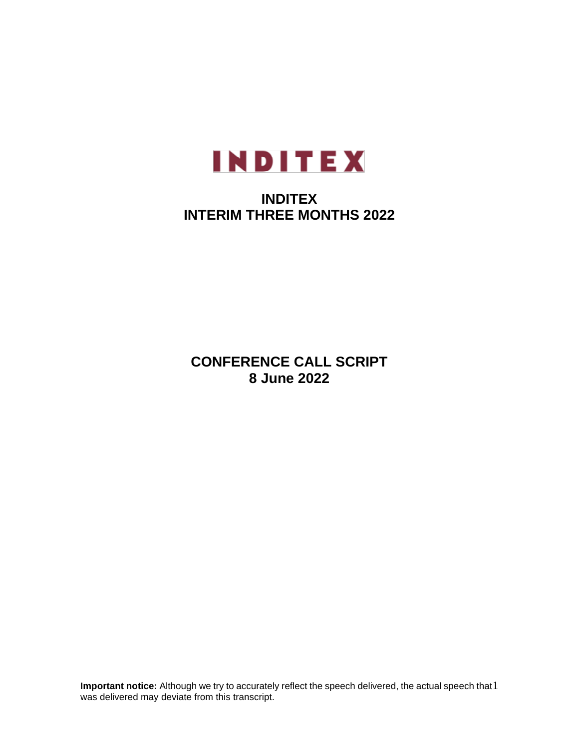

# **INDITEX INTERIM THREE MONTHS 2022**

**CONFERENCE CALL SCRIPT 8 June 2022**

**Important notice:** Although we try to accurately reflect the speech delivered, the actual speech that 1 was delivered may deviate from this transcript.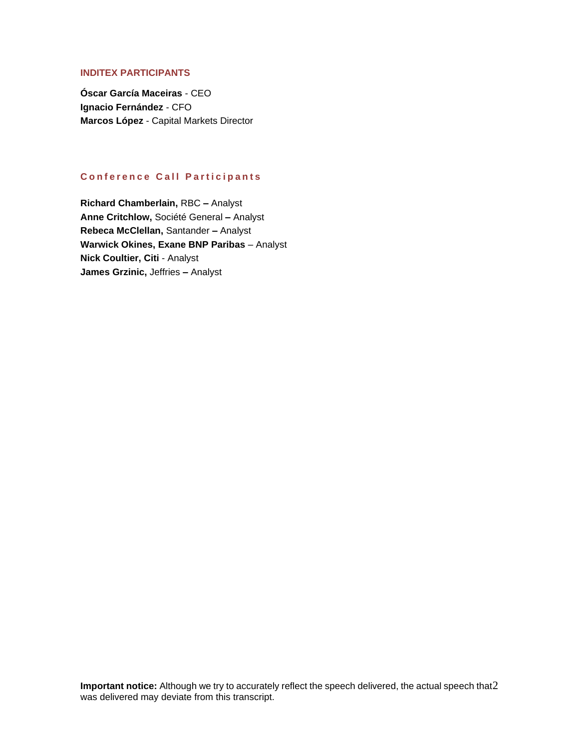# **INDITEX PARTICIPANTS**

**Óscar García Maceiras** - CEO **Ignacio Fernández** - CFO **Marcos López** - Capital Markets Director

# **Conference Call Participants**

**Richard Chamberlain,** RBC **–** Analyst **Anne Critchlow,** Société General **–** Analyst **Rebeca McClellan,** Santander **–** Analyst **Warwick Okines, Exane BNP Paribas** – Analyst **Nick Coultier, Citi** - Analyst **James Grzinic,** Jeffries **–** Analyst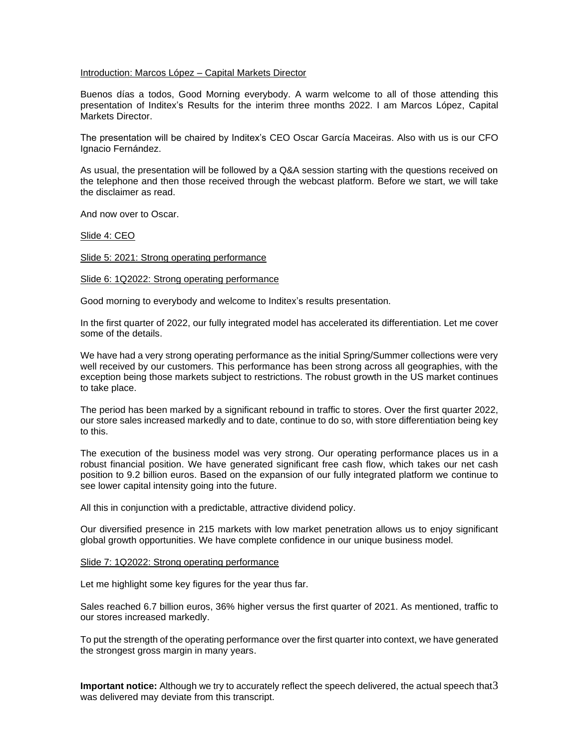## Introduction: Marcos López – Capital Markets Director

Buenos días a todos, Good Morning everybody. A warm welcome to all of those attending this presentation of Inditex's Results for the interim three months 2022. I am Marcos López, Capital Markets Director.

The presentation will be chaired by Inditex's CEO Oscar García Maceiras. Also with us is our CFO Ignacio Fernández.

As usual, the presentation will be followed by a Q&A session starting with the questions received on the telephone and then those received through the webcast platform. Before we start, we will take the disclaimer as read.

And now over to Oscar.

Slide 4: CEO

Slide 5: 2021: Strong operating performance

Slide 6: 1Q2022: Strong operating performance

Good morning to everybody and welcome to Inditex's results presentation.

In the first quarter of 2022, our fully integrated model has accelerated its differentiation. Let me cover some of the details.

We have had a very strong operating performance as the initial Spring/Summer collections were very well received by our customers. This performance has been strong across all geographies, with the exception being those markets subject to restrictions. The robust growth in the US market continues to take place.

The period has been marked by a significant rebound in traffic to stores. Over the first quarter 2022, our store sales increased markedly and to date, continue to do so, with store differentiation being key to this.

The execution of the business model was very strong. Our operating performance places us in a robust financial position. We have generated significant free cash flow, which takes our net cash position to 9.2 billion euros. Based on the expansion of our fully integrated platform we continue to see lower capital intensity going into the future.

All this in conjunction with a predictable, attractive dividend policy.

Our diversified presence in 215 markets with low market penetration allows us to enjoy significant global growth opportunities. We have complete confidence in our unique business model.

## Slide 7: 1Q2022: Strong operating performance

Let me highlight some key figures for the year thus far.

Sales reached 6.7 billion euros, 36% higher versus the first quarter of 2021. As mentioned, traffic to our stores increased markedly.

To put the strength of the operating performance over the first quarter into context, we have generated the strongest gross margin in many years.

Important notice: Although we try to accurately reflect the speech delivered, the actual speech that3 was delivered may deviate from this transcript.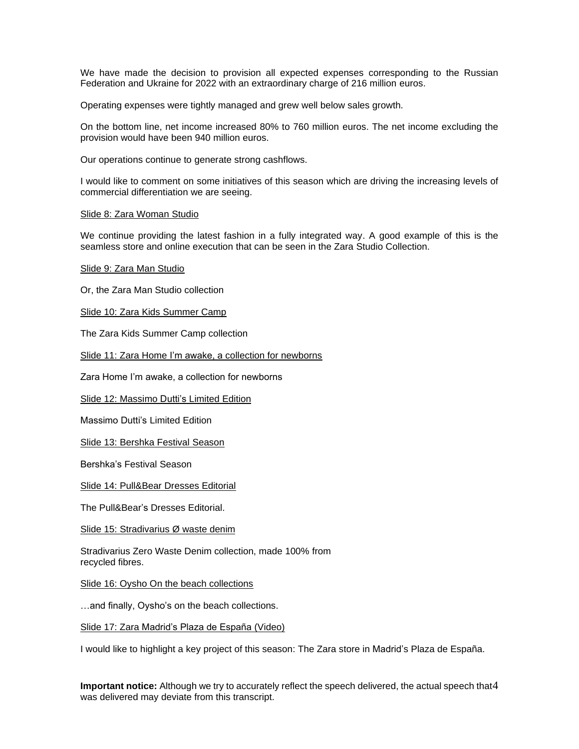We have made the decision to provision all expected expenses corresponding to the Russian Federation and Ukraine for 2022 with an extraordinary charge of 216 million euros.

Operating expenses were tightly managed and grew well below sales growth.

On the bottom line, net income increased 80% to 760 million euros. The net income excluding the provision would have been 940 million euros.

Our operations continue to generate strong cashflows.

I would like to comment on some initiatives of this season which are driving the increasing levels of commercial differentiation we are seeing.

## Slide 8: Zara Woman Studio

We continue providing the latest fashion in a fully integrated way. A good example of this is the seamless store and online execution that can be seen in the Zara Studio Collection.

Slide 9: Zara Man Studio

Or, the Zara Man Studio collection

Slide 10: Zara Kids Summer Camp

The Zara Kids Summer Camp collection

Slide 11: Zara Home I'm awake, a collection for newborns

Zara Home I'm awake, a collection for newborns

Slide 12: Massimo Dutti's Limited Edition

Massimo Dutti's Limited Edition

Slide 13: Bershka Festival Season

Bershka's Festival Season

Slide 14: Pull&Bear Dresses Editorial

The Pull&Bear's Dresses Editorial.

Slide 15: Stradivarius Ø waste denim

Stradivarius Zero Waste Denim collection, made 100% from recycled fibres.

Slide 16: Oysho On the beach collections

…and finally, Oysho's on the beach collections.

Slide 17: Zara Madrid's Plaza de España (Video)

I would like to highlight a key project of this season: The Zara store in Madrid's Plaza de España.

Important notice: Although we try to accurately reflect the speech delivered, the actual speech that4 was delivered may deviate from this transcript.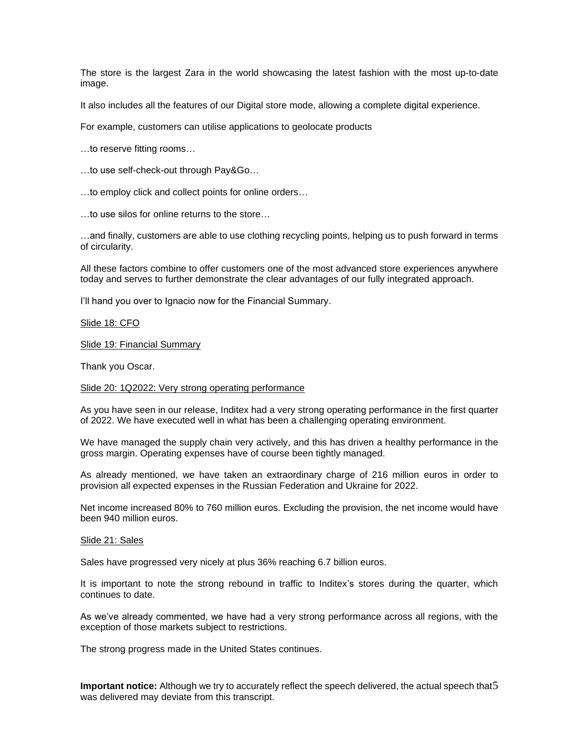The store is the largest Zara in the world showcasing the latest fashion with the most up-to-date image.

It also includes all the features of our Digital store mode, allowing a complete digital experience.

For example, customers can utilise applications to geolocate products

…to reserve fitting rooms…

…to use self-check-out through Pay&Go…

…to employ click and collect points for online orders…

…to use silos for online returns to the store…

…and finally, customers are able to use clothing recycling points, helping us to push forward in terms of circularity.

All these factors combine to offer customers one of the most advanced store experiences anywhere today and serves to further demonstrate the clear advantages of our fully integrated approach.

I'll hand you over to Ignacio now for the Financial Summary.

## Slide 18: CFO

Slide 19: Financial Summary

Thank you Oscar.

## Slide 20: 1Q2022: Very strong operating performance

As you have seen in our release, Inditex had a very strong operating performance in the first quarter of 2022. We have executed well in what has been a challenging operating environment.

We have managed the supply chain very actively, and this has driven a healthy performance in the gross margin. Operating expenses have of course been tightly managed.

As already mentioned, we have taken an extraordinary charge of 216 million euros in order to provision all expected expenses in the Russian Federation and Ukraine for 2022.

Net income increased 80% to 760 million euros. Excluding the provision, the net income would have been 940 million euros.

## Slide 21: Sales

Sales have progressed very nicely at plus 36% reaching 6.7 billion euros.

It is important to note the strong rebound in traffic to Inditex's stores during the quarter, which continues to date.

As we've already commented, we have had a very strong performance across all regions, with the exception of those markets subject to restrictions.

The strong progress made in the United States continues.

Important notice: Although we try to accurately reflect the speech delivered, the actual speech that5 was delivered may deviate from this transcript.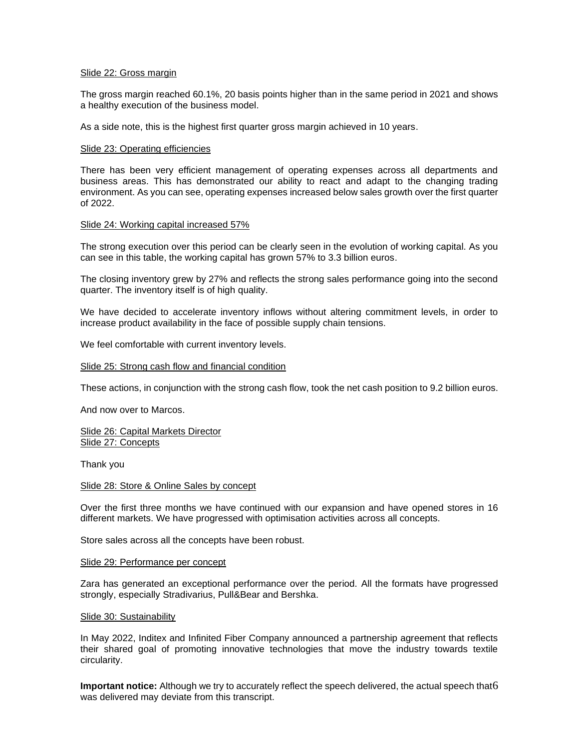## Slide 22: Gross margin

The gross margin reached 60.1%, 20 basis points higher than in the same period in 2021 and shows a healthy execution of the business model.

As a side note, this is the highest first quarter gross margin achieved in 10 years.

## Slide 23: Operating efficiencies

There has been very efficient management of operating expenses across all departments and business areas. This has demonstrated our ability to react and adapt to the changing trading environment. As you can see, operating expenses increased below sales growth over the first quarter of 2022.

## Slide 24: Working capital increased 57%

The strong execution over this period can be clearly seen in the evolution of working capital. As you can see in this table, the working capital has grown 57% to 3.3 billion euros.

The closing inventory grew by 27% and reflects the strong sales performance going into the second quarter. The inventory itself is of high quality.

We have decided to accelerate inventory inflows without altering commitment levels, in order to increase product availability in the face of possible supply chain tensions.

We feel comfortable with current inventory levels.

## Slide 25: Strong cash flow and financial condition

These actions, in conjunction with the strong cash flow, took the net cash position to 9.2 billion euros.

And now over to Marcos.

Slide 26: Capital Markets Director Slide 27: Concepts

Thank you

## Slide 28: Store & Online Sales by concept

Over the first three months we have continued with our expansion and have opened stores in 16 different markets. We have progressed with optimisation activities across all concepts.

Store sales across all the concepts have been robust.

## Slide 29: Performance per concept

Zara has generated an exceptional performance over the period. All the formats have progressed strongly, especially Stradivarius, Pull&Bear and Bershka.

## Slide 30: Sustainability

In May 2022, Inditex and Infinited Fiber Company announced a partnership agreement that reflects their shared goal of promoting innovative technologies that move the industry towards textile circularity.

Important notice: Although we try to accurately reflect the speech delivered, the actual speech that6 was delivered may deviate from this transcript.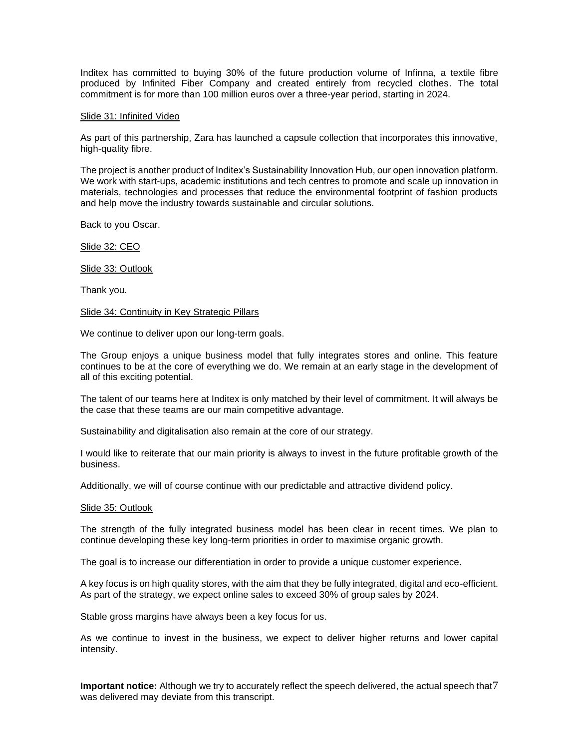Inditex has committed to buying 30% of the future production volume of Infinna, a textile fibre produced by Infinited Fiber Company and created entirely from recycled clothes. The total commitment is for more than 100 million euros over a three-year period, starting in 2024.

#### Slide 31: Infinited Video

As part of this partnership, Zara has launched a capsule collection that incorporates this innovative, high-quality fibre.

The project is another product of Inditex's Sustainability Innovation Hub, our open innovation platform. We work with start-ups, academic institutions and tech centres to promote and scale up innovation in materials, technologies and processes that reduce the environmental footprint of fashion products and help move the industry towards sustainable and circular solutions.

Back to you Oscar.

Slide 32: CEO

Slide 33: Outlook

Thank you.

#### Slide 34: Continuity in Key Strategic Pillars

We continue to deliver upon our long-term goals.

The Group enjoys a unique business model that fully integrates stores and online. This feature continues to be at the core of everything we do. We remain at an early stage in the development of all of this exciting potential.

The talent of our teams here at Inditex is only matched by their level of commitment. It will always be the case that these teams are our main competitive advantage.

Sustainability and digitalisation also remain at the core of our strategy.

I would like to reiterate that our main priority is always to invest in the future profitable growth of the business.

Additionally, we will of course continue with our predictable and attractive dividend policy.

#### Slide 35: Outlook

The strength of the fully integrated business model has been clear in recent times. We plan to continue developing these key long-term priorities in order to maximise organic growth.

The goal is to increase our differentiation in order to provide a unique customer experience.

A key focus is on high quality stores, with the aim that they be fully integrated, digital and eco-efficient. As part of the strategy, we expect online sales to exceed 30% of group sales by 2024.

Stable gross margins have always been a key focus for us.

As we continue to invest in the business, we expect to deliver higher returns and lower capital intensity.

Important notice: Although we try to accurately reflect the speech delivered, the actual speech that<sup>7</sup> was delivered may deviate from this transcript.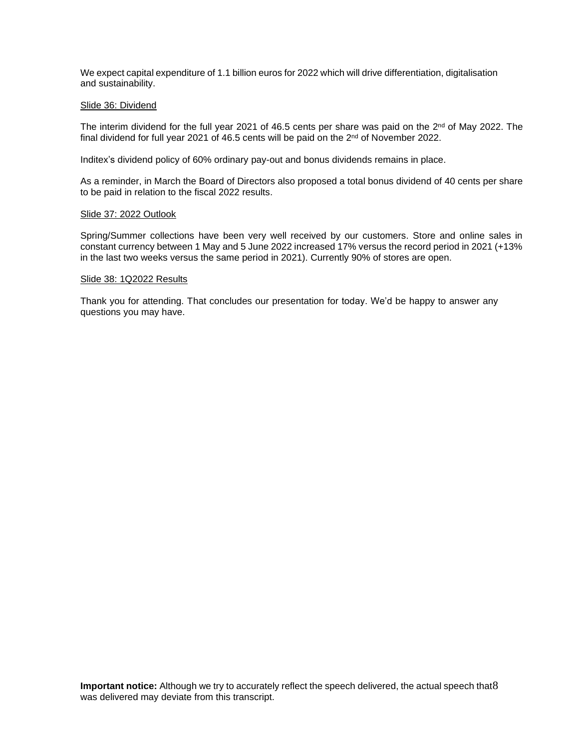We expect capital expenditure of 1.1 billion euros for 2022 which will drive differentiation, digitalisation and sustainability.

## Slide 36: Dividend

The interim dividend for the full year 2021 of 46.5 cents per share was paid on the 2<sup>nd</sup> of May 2022. The final dividend for full year 2021 of 46.5 cents will be paid on the  $2<sup>nd</sup>$  of November 2022.

Inditex's dividend policy of 60% ordinary pay-out and bonus dividends remains in place.

As a reminder, in March the Board of Directors also proposed a total bonus dividend of 40 cents per share to be paid in relation to the fiscal 2022 results.

## Slide 37: 2022 Outlook

Spring/Summer collections have been very well received by our customers. Store and online sales in constant currency between 1 May and 5 June 2022 increased 17% versus the record period in 2021 (+13% in the last two weeks versus the same period in 2021). Currently 90% of stores are open.

## Slide 38: 1Q2022 Results

Thank you for attending. That concludes our presentation for today. We'd be happy to answer any questions you may have.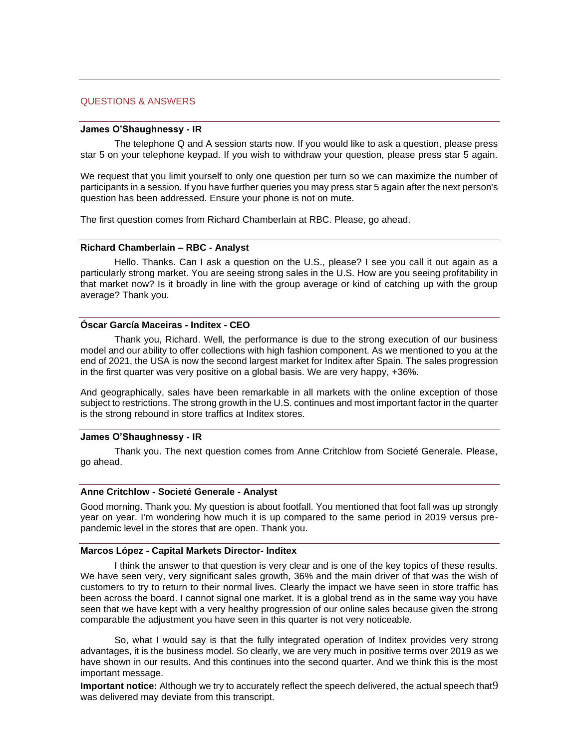#### QUESTIONS & ANSWERS

#### **James O'Shaughnessy - IR**

The telephone Q and A session starts now. If you would like to ask a question, please press star 5 on your telephone keypad. If you wish to withdraw your question, please press star 5 again.

We request that you limit yourself to only one question per turn so we can maximize the number of participants in a session. If you have further queries you may press star 5 again after the next person's question has been addressed. Ensure your phone is not on mute.

The first question comes from Richard Chamberlain at RBC. Please, go ahead.

#### **Richard Chamberlain – RBC - Analyst**

Hello. Thanks. Can I ask a question on the U.S., please? I see you call it out again as a particularly strong market. You are seeing strong sales in the U.S. How are you seeing profitability in that market now? Is it broadly in line with the group average or kind of catching up with the group average? Thank you.

## **Óscar García Maceiras - Inditex - CEO**

Thank you, Richard. Well, the performance is due to the strong execution of our business model and our ability to offer collections with high fashion component. As we mentioned to you at the end of 2021, the USA is now the second largest market for Inditex after Spain. The sales progression in the first quarter was very positive on a global basis. We are very happy, +36%.

And geographically, sales have been remarkable in all markets with the online exception of those subject to restrictions. The strong growth in the U.S. continues and most important factor in the quarter is the strong rebound in store traffics at Inditex stores.

## **James O'Shaughnessy - IR**

Thank you. The next question comes from Anne Critchlow from Societé Generale. Please, go ahead.

#### **Anne Critchlow - Societé Generale - Analyst**

Good morning. Thank you. My question is about footfall. You mentioned that foot fall was up strongly year on year. I'm wondering how much it is up compared to the same period in 2019 versus prepandemic level in the stores that are open. Thank you.

## **Marcos López - Capital Markets Director- Inditex**

I think the answer to that question is very clear and is one of the key topics of these results. We have seen very, very significant sales growth, 36% and the main driver of that was the wish of customers to try to return to their normal lives. Clearly the impact we have seen in store traffic has been across the board. I cannot signal one market. It is a global trend as in the same way you have seen that we have kept with a very healthy progression of our online sales because given the strong comparable the adjustment you have seen in this quarter is not very noticeable.

So, what I would say is that the fully integrated operation of Inditex provides very strong advantages, it is the business model. So clearly, we are very much in positive terms over 2019 as we have shown in our results. And this continues into the second quarter. And we think this is the most important message.

Important notice: Although we try to accurately reflect the speech delivered, the actual speech that9 was delivered may deviate from this transcript.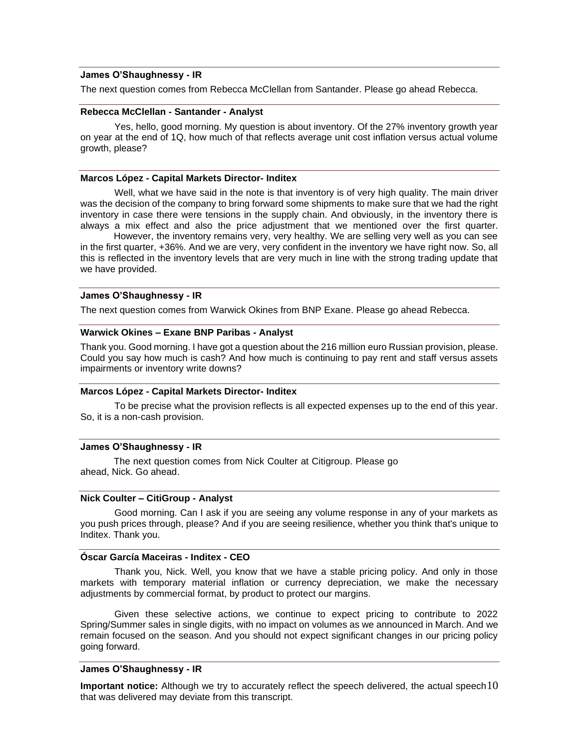## **James O'Shaughnessy - IR**

The next question comes from Rebecca McClellan from Santander. Please go ahead Rebecca.

## **Rebecca McClellan - Santander - Analyst**

Yes, hello, good morning. My question is about inventory. Of the 27% inventory growth year on year at the end of 1Q, how much of that reflects average unit cost inflation versus actual volume growth, please?

## **Marcos López - Capital Markets Director- Inditex**

Well, what we have said in the note is that inventory is of very high quality. The main driver was the decision of the company to bring forward some shipments to make sure that we had the right inventory in case there were tensions in the supply chain. And obviously, in the inventory there is always a mix effect and also the price adjustment that we mentioned over the first quarter.

 However, the inventory remains very, very healthy. We are selling very well as you can see in the first quarter, +36%. And we are very, very confident in the inventory we have right now. So, all this is reflected in the inventory levels that are very much in line with the strong trading update that we have provided.

## **James O'Shaughnessy - IR**

The next question comes from Warwick Okines from BNP Exane. Please go ahead Rebecca.

## **Warwick Okines – Exane BNP Paribas - Analyst**

Thank you. Good morning. I have got a question about the 216 million euro Russian provision, please. Could you say how much is cash? And how much is continuing to pay rent and staff versus assets impairments or inventory write downs?

## **Marcos López - Capital Markets Director- Inditex**

To be precise what the provision reflects is all expected expenses up to the end of this year. So, it is a non-cash provision.

#### **James O'Shaughnessy - IR**

The next question comes from Nick Coulter at Citigroup. Please go ahead, Nick. Go ahead.

## **Nick Coulter – CitiGroup - Analyst**

Good morning. Can I ask if you are seeing any volume response in any of your markets as you push prices through, please? And if you are seeing resilience, whether you think that's unique to Inditex. Thank you.

#### **Óscar García Maceiras - Inditex - CEO**

Thank you, Nick. Well, you know that we have a stable pricing policy. And only in those markets with temporary material inflation or currency depreciation, we make the necessary adjustments by commercial format, by product to protect our margins.

Given these selective actions, we continue to expect pricing to contribute to 2022 Spring/Summer sales in single digits, with no impact on volumes as we announced in March. And we remain focused on the season. And you should not expect significant changes in our pricing policy going forward.

#### **James O'Shaughnessy - IR**

**Important notice:** Although we try to accurately reflect the speech delivered, the actual speech 10 that was delivered may deviate from this transcript.